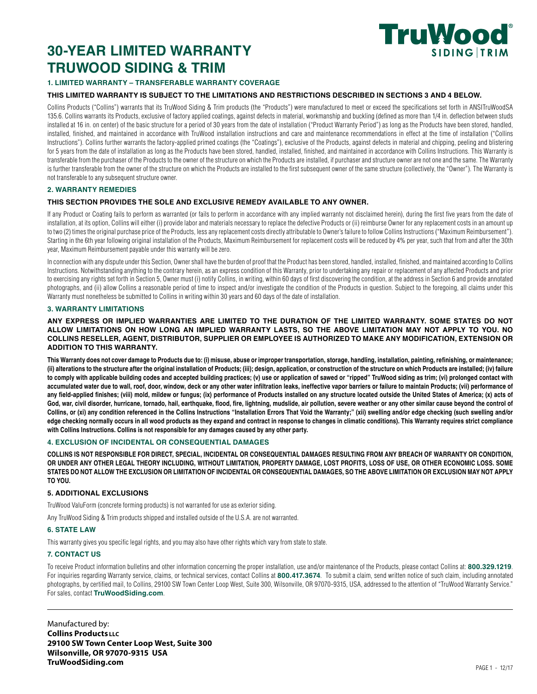## **30-YEAR LIMITED WARRANTY TRUWOOD SIDING & TRIM**



## **1. LIMITED WARRANTY – TRANSFERABLE WARRANTY COVERAGE**

#### **THIS LIMITED WARRANTY IS SUBJECT TO THE LIMITATIONS AND RESTRICTIONS DESCRIBED IN SECTIONS 3 AND 4 BELOW.**

Collins Products ("Collins") warrants that its TruWood Siding & Trim products (the "Products") were manufactured to meet or exceed the specifications set forth in ANSITruWoodSA 135.6. Collins warrants its Products, exclusive of factory applied coatings, against defects in material, workmanship and buckling (defined as more than 1/4 in. deflection between studs installed at 16 in. on center) of the basic structure for a period of 30 years from the date of installation ("Product Warranty Period") as long as the Products have been stored, handled, installed, finished, and maintained in accordance with TruWood installation instructions and care and maintenance recommendations in effect at the time of installation ("Collins Instructions"). Collins further warrants the factory-applied primed coatings (the "Coatings"), exclusive of the Products, against defects in material and chipping, peeling and blistering for 5 years from the date of installation as long as the Products have been stored, handled, installed, finished, and maintained in accordance with Collins Instructions. This Warranty is transferable from the purchaser of the Products to the owner of the structure on which the Products are installed, if purchaser and structure owner are not one and the same. The Warranty is further transferable from the owner of the structure on which the Products are installed to the first subsequent owner of the same structure (collectively, the "Owner"). The Warranty is not transferable to any subsequent structure owner.

#### **2. WARRANTY REMEDIES**

#### **THIS SECTION PROVIDES THE SOLE AND EXCLUSIVE REMEDY AVAILABLE TO ANY OWNER.**

If any Product or Coating fails to perform as warranted (or fails to perform in accordance with any implied warranty not disclaimed herein), during the first five years from the date of installation, at its option, Collins will either (i) provide labor and materials necessary to replace the defective Products or (ii) reimburse Owner for any replacement costs in an amount up to two (2) times the original purchase price of the Products, less any replacement costs directly attributable to Owner's failure to follow Collins Instructions ("Maximum Reimbursement"). Starting in the 6th year following original installation of the Products, Maximum Reimbursement for replacement costs will be reduced by 4% per year, such that from and after the 30th year, Maximum Reimbursement payable under this warranty will be zero.

In connection with any dispute under this Section, Owner shall have the burden of proof that the Product has been stored, handled, installed, finished, and maintained according to Collins Instructions. Notwithstanding anything to the contrary herein, as an express condition of this Warranty, prior to undertaking any repair or replacement of any affected Products and prior to exercising any rights set forth in Section 5, Owner must (i) notify Collins, in writing, within 60 days of first discovering the condition, at the address in Section 6 and provide annotated photographs, and (ii) allow Collins a reasonable period of time to inspect and/or investigate the condition of the Products in question. Subject to the foregoing, all claims under this Warranty must nonetheless be submitted to Collins in writing within 30 years and 60 days of the date of installation.

#### **3. WARRANTY LIMITATIONS**

#### **ANY EXPRESS OR IMPLIED WARRANTIES ARE LIMITED TO THE DURATION OF THE LIMITED WARRANTY. SOME STATES DO NOT ALLOW LIMITATIONS ON HOW LONG AN IMPLIED WARRANTY LASTS, SO THE ABOVE LIMITATION MAY NOT APPLY TO YOU. NO COLLINS RESELLER, AGENT, DISTRIBUTOR, SUPPLIER OR EMPLOYEE IS AUTHORIZED TO MAKE ANY MODIFICATION, EXTENSION OR ADDITION TO THIS WARRANTY.**

**This Warranty does not cover damage to Products due to: (i) misuse, abuse or improper transportation, storage, handling, installation, painting, refinishing, or maintenance; (ii) alterations to the structure after the original installation of Products; (iii); design, application, or construction of the structure on which Products are installed; (iv) failure to comply with applicable building codes and accepted building practices; (v) use or application of sawed or "ripped" TruWood siding as trim; (vi) prolonged contact with accumulated water due to wall, roof, door, window, deck or any other water infiltration leaks, ineffective vapor barriers or failure to maintain Products; (vii) performance of any field-applied finishes; (viii) mold, mildew or fungus; (ix) performance of Products installed on any structure located outside the United States of America; (x) acts of**  God, war, civil disorder, hurricane, tornado, hail, earthquake, flood, fire, lightning, mudslide, air pollution, severe weather or any other similar cause beyond the control of **Collins, or (xi) any condition referenced in the Collins Instructions "Installation Errors That Void the Warranty;" (xii) swelling and/or edge checking (such swelling and/or edge checking normally occurs in all wood products as they expand and contract in response to changes in climatic conditions). This Warranty requires strict compliance with Collins Instructions. Collins is not responsible for any damages caused by any other party.**

#### **4. EXCLUSION OF INCIDENTAL OR CONSEQUENTIAL DAMAGES**

**COLLINS IS NOT RESPONSIBLE FOR DIRECT, SPECIAL, INCIDENTAL OR CONSEQUENTIAL DAMAGES RESULTING FROM ANY BREACH OF WARRANTY OR CONDITION,**  OR UNDER ANY OTHER LEGAL THEORY INCLUDING, WITHOUT LIMITATION, PROPERTY DAMAGE, LOST PROFITS, LOSS OF USE, OR OTHER ECONOMIC LOSS. SOME **STATES DO NOT ALLOW THE EXCLUSION OR LIMITATION OF INCIDENTAL OR CONSEQUENTIAL DAMAGES, SO THE ABOVE LIMITATION OR EXCLUSION MAY NOT APPLY TO YOU.**

#### **5. ADDITIONAL EXCLUSIONS**

TruWood ValuForm (concrete forming products) is not warranted for use as exterior siding.

Any TruWood Siding & Trim products shipped and installed outside of the U.S.A. are not warranted.

#### **6. STATE LAW**

This warranty gives you specific legal rights, and you may also have other rights which vary from state to state.

#### **7. CONTACT US**

To receive Product information bulletins and other information concerning the proper installation, use and/or maintenance of the Products, please contact Collins at: **800.329.1219**. For inquiries regarding Warranty service, claims, or technical services, contact Collins at **800.417.3674**. To submit a claim, send written notice of such claim, including annotated photographs, by certified mail, to Collins, 29100 SW Town Center Loop West, Suite 300, Wilsonville, OR 97070-9315, USA, addressed to the attention of "TruWood Warranty Service." For sales, contact **TruWoodSiding.com**.

Manufactured by: **Collins Products LLC 29100 SW Town Center Loop West, Suite 300 Wilsonville, OR 97070-9315 USA TruWoodSiding.com** PAGE 1 - 12/17